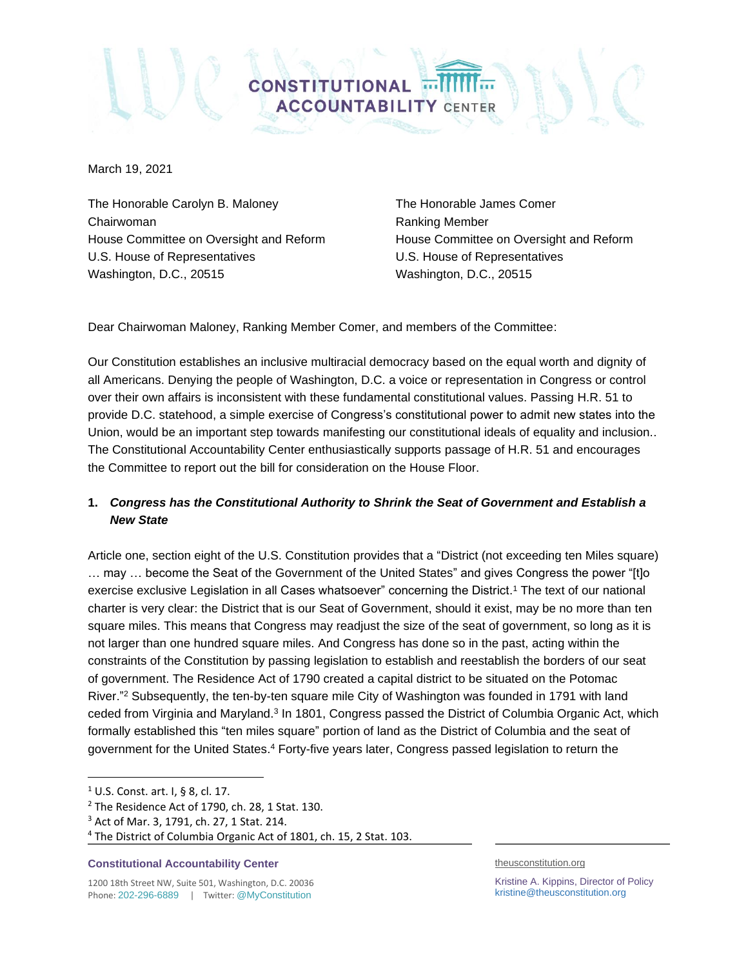

March 19, 2021

The Honorable Carolyn B. Maloney The Honorable James Comer Chairwoman **Chairwoman** Ranking Member House Committee on Oversight and Reform House Committee on Oversight and Reform U.S. House of Representatives U.S. House of Representatives Washington, D.C., 20515 Washington, D.C., 20515

Dear Chairwoman Maloney, Ranking Member Comer, and members of the Committee:

Our Constitution establishes an inclusive multiracial democracy based on the equal worth and dignity of all Americans. Denying the people of Washington, D.C. a voice or representation in Congress or control over their own affairs is inconsistent with these fundamental constitutional values. Passing H.R. 51 to provide D.C. statehood, a simple exercise of Congress's constitutional power to admit new states into the Union, would be an important step towards manifesting our constitutional ideals of equality and inclusion.. The Constitutional Accountability Center enthusiastically supports passage of H.R. 51 and encourages the Committee to report out the bill for consideration on the House Floor.

# **1.** *Congress has the Constitutional Authority to Shrink the Seat of Government and Establish a New State*

Article one, section eight of the U.S. Constitution provides that a "District (not exceeding ten Miles square) … may … become the Seat of the Government of the United States" and gives Congress the power "[t]o exercise exclusive Legislation in all Cases whatsoever" concerning the District. <sup>1</sup> The text of our national charter is very clear: the District that is our Seat of Government, should it exist, may be no more than ten square miles. This means that Congress may readjust the size of the seat of government, so long as it is not larger than one hundred square miles. And Congress has done so in the past, acting within the constraints of the Constitution by passing legislation to establish and reestablish the borders of our seat of government. The Residence Act of 1790 created a capital district to be situated on the Potomac River."<sup>2</sup> Subsequently, the ten-by-ten square mile City of Washington was founded in 1791 with land ceded from Virginia and Maryland.<sup>3</sup> In 1801, Congress passed the District of Columbia Organic Act, which formally established this "ten miles square" portion of land as the District of Columbia and the seat of government for the United States.<sup>4</sup> Forty-five years later, Congress passed legislation to return the

#### **Constitutional Accountability Center**

1200 18th Street NW, Suite 501, Washington, D.C. 20036 Phone: 202-296-6889 | Twitter: @MyConstitution

theusconstitution.org

Kristine A. Kippins, Director of Policy kristine@theusconstitution.org

 $1 \cup S$ . Const. art. I, § 8, cl. 17.

 $2$  The Residence Act of 1790, ch. 28, 1 Stat. 130.

<sup>3</sup> Act of Mar. 3, 1791, ch. 27, 1 Stat. 214.

<sup>4</sup> The District of Columbia Organic Act of 1801, ch. 15, 2 Stat. 103.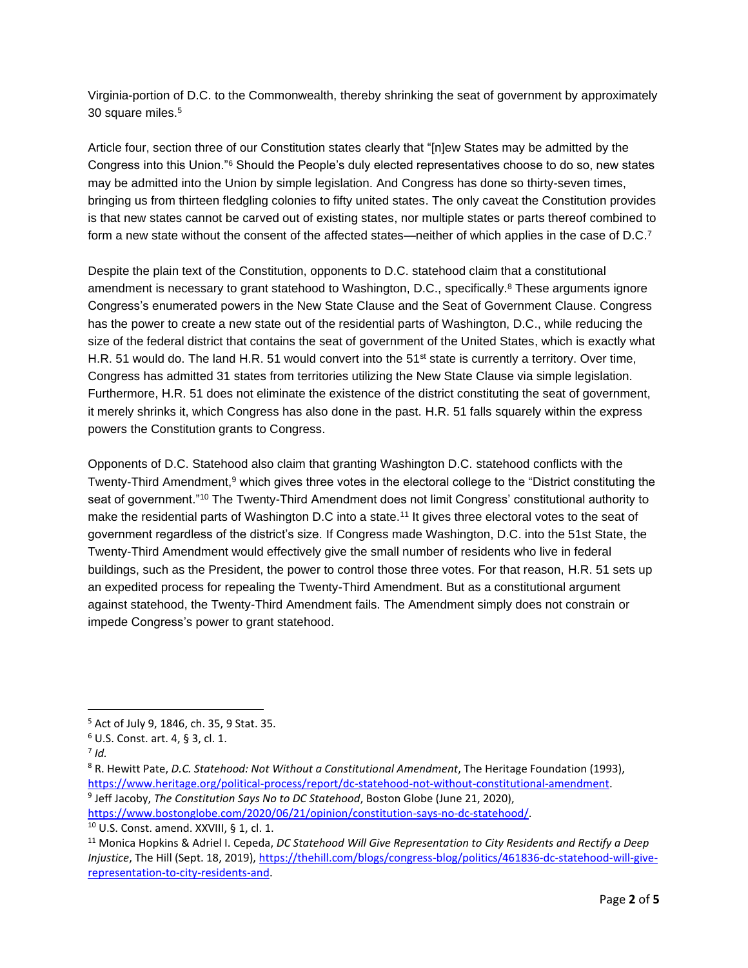Virginia-portion of D.C. to the Commonwealth, thereby shrinking the seat of government by approximately 30 square miles.<sup>5</sup>

Article four, section three of our Constitution states clearly that "[n]ew States may be admitted by the Congress into this Union."<sup>6</sup> Should the People's duly elected representatives choose to do so, new states may be admitted into the Union by simple legislation. And Congress has done so thirty-seven times, bringing us from thirteen fledgling colonies to fifty united states. The only caveat the Constitution provides is that new states cannot be carved out of existing states, nor multiple states or parts thereof combined to form a new state without the consent of the affected states—neither of which applies in the case of D.C.<sup>7</sup>

Despite the plain text of the Constitution, opponents to D.C. statehood claim that a constitutional amendment is necessary to grant statehood to Washington, D.C., specifically.<sup>8</sup> These arguments ignore Congress's enumerated powers in the New State Clause and the Seat of Government Clause. Congress has the power to create a new state out of the residential parts of Washington, D.C., while reducing the size of the federal district that contains the seat of government of the United States, which is exactly what H.R. 51 would do. The land H.R. 51 would convert into the 51<sup>st</sup> state is currently a territory. Over time, Congress has admitted 31 states from territories utilizing the New State Clause via simple legislation. Furthermore, H.R. 51 does not eliminate the existence of the district constituting the seat of government, it merely shrinks it, which Congress has also done in the past. H.R. 51 falls squarely within the express powers the Constitution grants to Congress.

Opponents of D.C. Statehood also claim that granting Washington D.C. statehood conflicts with the Twenty-Third Amendment,<sup>9</sup> which gives three votes in the electoral college to the "District constituting the seat of government."<sup>10</sup> The Twenty-Third Amendment does not limit Congress' constitutional authority to make the residential parts of Washington D.C into a state.<sup>11</sup> It gives three electoral votes to the seat of government regardless of the district's size. If Congress made Washington, D.C. into the 51st State, the Twenty-Third Amendment would effectively give the small number of residents who live in federal buildings, such as the President, the power to control those three votes. For that reason, H.R. 51 sets up an expedited process for repealing the Twenty-Third Amendment. But as a constitutional argument against statehood, the Twenty-Third Amendment fails. The Amendment simply does not constrain or impede Congress's power to grant statehood.

[https://www.bostonglobe.com/2020/06/21/opinion/constitution-says-no-dc-statehood/.](https://www.bostonglobe.com/2020/06/21/opinion/constitution-says-no-dc-statehood/)

<sup>10</sup> U.S. Const. amend. XXVIII, § 1, cl. 1.

<sup>5</sup> Act of July 9, 1846, ch. 35, 9 Stat. 35.

<sup>6</sup> U.S. Const. art. 4, § 3, cl. 1.

<sup>7</sup> *Id.* 

<sup>8</sup> R. Hewitt Pate, *D.C. Statehood: Not Without a Constitutional Amendment*, The Heritage Foundation (1993), [https://www.heritage.org/political-process/report/dc-statehood-not-without-constitutional-amendment.](https://www.heritage.org/political-process/report/dc-statehood-not-without-constitutional-amendment) 9 Jeff Jacoby, *The Constitution Says No to DC Statehood*, Boston Globe (June 21, 2020),

<sup>11</sup> Monica Hopkins & Adriel I. Cepeda, *DC Statehood Will Give Representation to City Residents and Rectify a Deep Injustice*, The Hill (Sept. 18, 2019), [https://thehill.com/blogs/congress-blog/politics/461836-dc-statehood-will-give](https://thehill.com/blogs/congress-blog/politics/461836-dc-statehood-will-give-representation-to-city-residents-and)[representation-to-city-residents-and.](https://thehill.com/blogs/congress-blog/politics/461836-dc-statehood-will-give-representation-to-city-residents-and)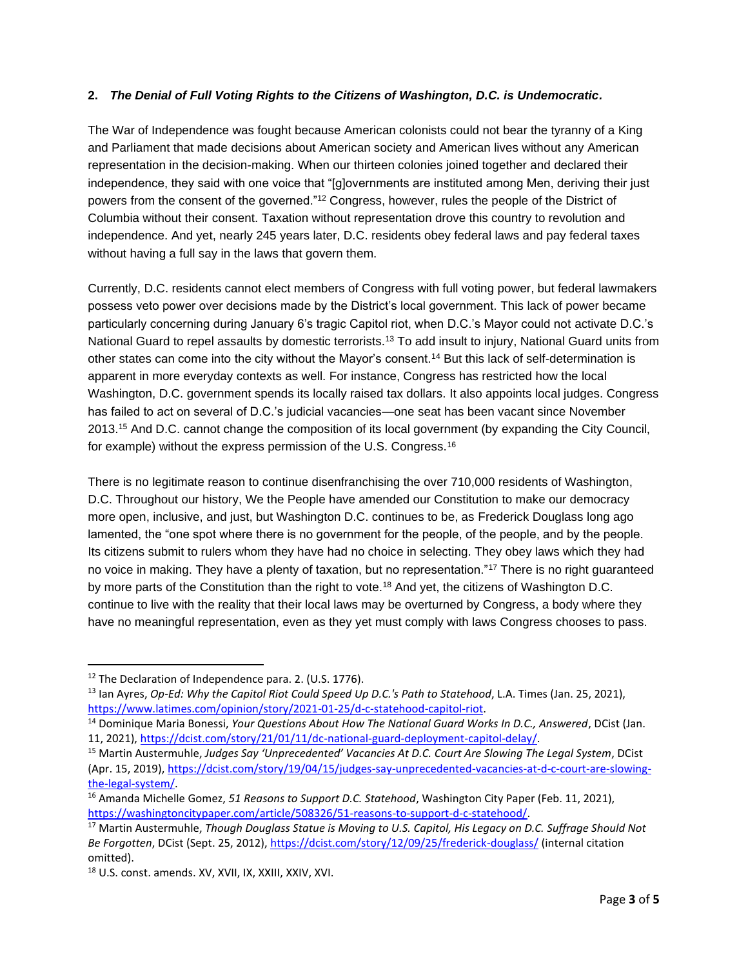### **2.** *The Denial of Full Voting Rights to the Citizens of Washington, D.C. is Undemocratic.*

The War of Independence was fought because American colonists could not bear the tyranny of a King and Parliament that made decisions about American society and American lives without any American representation in the decision-making. When our thirteen colonies joined together and declared their independence, they said with one voice that "[g]overnments are instituted among Men, deriving their just powers from the consent of the governed."<sup>12</sup> Congress, however, rules the people of the District of Columbia without their consent. Taxation without representation drove this country to revolution and independence. And yet, nearly 245 years later, D.C. residents obey federal laws and pay federal taxes without having a full say in the laws that govern them.

Currently, D.C. residents cannot elect members of Congress with full voting power, but federal lawmakers possess veto power over decisions made by the District's local government. This lack of power became particularly concerning during January 6's tragic Capitol riot, when D.C.'s Mayor could not activate D.C.'s National Guard to repel assaults by domestic terrorists.<sup>13</sup> To add insult to injury, National Guard units from other states can come into the city without the Mayor's consent.<sup>14</sup> But this lack of self-determination is apparent in more everyday contexts as well. For instance, Congress has restricted how the local Washington, D.C. government spends its locally raised tax dollars. It also appoints local judges. Congress has failed to act on several of D.C.'s judicial vacancies—one seat has been vacant since November 2013.<sup>15</sup> And D.C. cannot change the composition of its local government (by expanding the City Council, for example) without the express permission of the U.S. Congress.<sup>16</sup>

There is no legitimate reason to continue disenfranchising the over 710,000 residents of Washington, D.C. Throughout our history, We the People have amended our Constitution to make our democracy more open, inclusive, and just, but Washington D.C. continues to be, as Frederick Douglass long ago lamented, the "one spot where there is no government for the people, of the people, and by the people. Its citizens submit to rulers whom they have had no choice in selecting. They obey laws which they had no voice in making. They have a plenty of taxation, but no representation."<sup>17</sup> There is no right guaranteed by more parts of the Constitution than the right to vote.<sup>18</sup> And yet, the citizens of Washington D.C. continue to live with the reality that their local laws may be overturned by Congress, a body where they have no meaningful representation, even as they yet must comply with laws Congress chooses to pass.

<sup>&</sup>lt;sup>12</sup> The Declaration of Independence para. 2. (U.S. 1776).

<sup>13</sup> Ian Ayres, *Op-Ed: Why the Capitol Riot Could Speed Up D.C.'s Path to Statehood*, L.A. Times (Jan. 25, 2021), [https://www.latimes.com/opinion/story/2021-01-25/d-c-statehood-capitol-riot.](https://www.latimes.com/opinion/story/2021-01-25/d-c-statehood-capitol-riot)

<sup>14</sup> Dominique Maria Bonessi, *Your Questions About How The National Guard Works In D.C., Answered*, DCist (Jan. 11, 2021), [https://dcist.com/story/21/01/11/dc-national-guard-deployment-capitol-delay/.](https://dcist.com/story/21/01/11/dc-national-guard-deployment-capitol-delay/)

<sup>15</sup> Martin Austermuhle, *Judges Say 'Unprecedented' Vacancies At D.C. Court Are Slowing The Legal System*, DCist (Apr. 15, 2019), [https://dcist.com/story/19/04/15/judges-say-unprecedented-vacancies-at-d-c-court-are-slowing](https://dcist.com/story/19/04/15/judges-say-unprecedented-vacancies-at-d-c-court-are-slowing-the-legal-system/)[the-legal-system/.](https://dcist.com/story/19/04/15/judges-say-unprecedented-vacancies-at-d-c-court-are-slowing-the-legal-system/) 

<sup>16</sup> Amanda Michelle Gomez, *51 Reasons to Support D.C. Statehood*, Washington City Paper (Feb. 11, 2021), [https://washingtoncitypaper.com/article/508326/51-reasons-to-support-d-c-statehood/.](https://washingtoncitypaper.com/article/508326/51-reasons-to-support-d-c-statehood/)

<sup>17</sup> Martin Austermuhle, *Though Douglass Statue is Moving to U.S. Capitol, His Legacy on D.C. Suffrage Should Not Be Forgotten*, DCist (Sept. 25, 2012)[, https://dcist.com/story/12/09/25/frederick-douglass/](https://dcist.com/story/12/09/25/frederick-douglass/) (internal citation omitted).

<sup>18</sup> U.S. const. amends. XV, XVII, IX, XXIII, XXIV, XVI.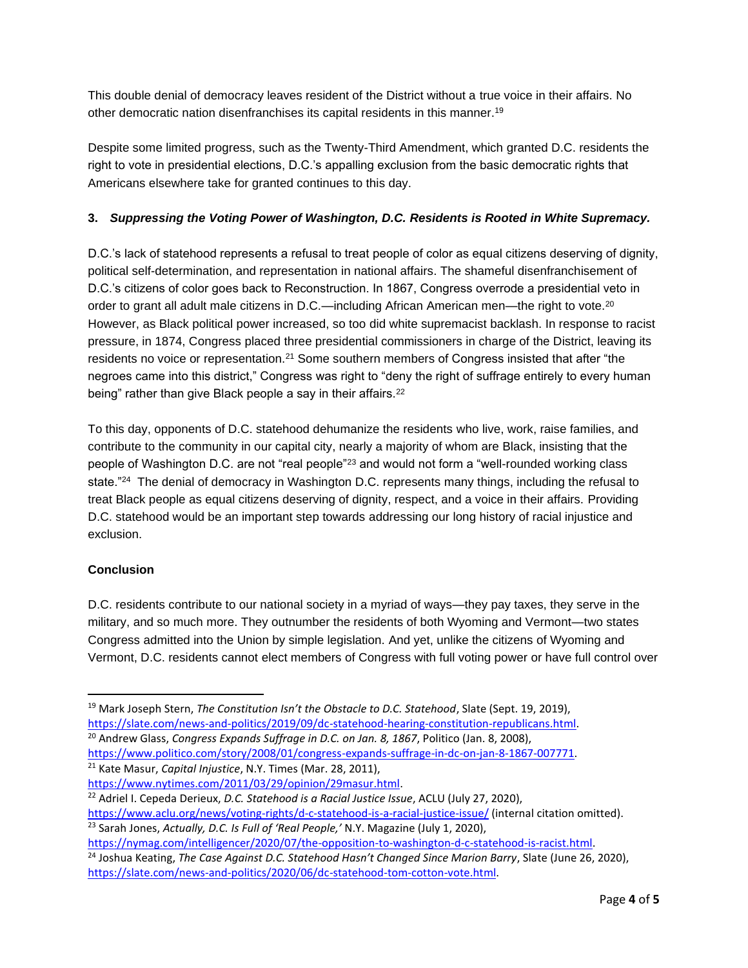This double denial of democracy leaves resident of the District without a true voice in their affairs. No other democratic nation disenfranchises its capital residents in this manner. 19

Despite some limited progress, such as the Twenty-Third Amendment, which granted D.C. residents the right to vote in presidential elections, D.C.'s appalling exclusion from the basic democratic rights that Americans elsewhere take for granted continues to this day.

## **3.** *Suppressing the Voting Power of Washington, D.C. Residents is Rooted in White Supremacy.*

D.C.'s lack of statehood represents a refusal to treat people of color as equal citizens deserving of dignity, political self-determination, and representation in national affairs. The shameful disenfranchisement of D.C.'s citizens of color goes back to Reconstruction. In 1867, Congress overrode a presidential veto in order to grant all adult male citizens in D.C.—including African American men—the right to vote.<sup>20</sup> However, as Black political power increased, so too did white supremacist backlash. In response to racist pressure, in 1874, Congress placed three presidential commissioners in charge of the District, leaving its residents no voice or representation.<sup>21</sup> Some southern members of Congress insisted that after "the negroes came into this district," Congress was right to "deny the right of suffrage entirely to every human being" rather than give Black people a say in their affairs.<sup>22</sup>

To this day, opponents of D.C. statehood dehumanize the residents who live, work, raise families, and contribute to the community in our capital city, nearly a majority of whom are Black, insisting that the people of Washington D.C. are not "real people"<sup>23</sup> and would not form a "well-rounded working class state."<sup>24</sup> The denial of democracy in Washington D.C. represents many things, including the refusal to treat Black people as equal citizens deserving of dignity, respect, and a voice in their affairs. Providing D.C. statehood would be an important step towards addressing our long history of racial injustice and exclusion.

#### **Conclusion**

D.C. residents contribute to our national society in a myriad of ways—they pay taxes, they serve in the military, and so much more. They outnumber the residents of both Wyoming and Vermont—two states Congress admitted into the Union by simple legislation. And yet, unlike the citizens of Wyoming and Vermont, D.C. residents cannot elect members of Congress with full voting power or have full control over

<sup>20</sup> Andrew Glass, *Congress Expands Suffrage in D.C. on Jan. 8, 1867*, Politico (Jan. 8, 2008),

<https://www.aclu.org/news/voting-rights/d-c-statehood-is-a-racial-justice-issue/> (internal citation omitted). <sup>23</sup> Sarah Jones, *Actually, D.C. Is Full of 'Real People,'* N.Y. Magazine (July 1, 2020),

<sup>19</sup> Mark Joseph Stern, *The Constitution Isn't the Obstacle to D.C. Statehood*, Slate (Sept. 19, 2019), [https://slate.com/news-and-politics/2019/09/dc-statehood-hearing-constitution-republicans.html.](https://slate.com/news-and-politics/2019/09/dc-statehood-hearing-constitution-republicans.html)

[https://www.politico.com/story/2008/01/congress-expands-suffrage-in-dc-on-jan-8-1867-007771.](https://www.politico.com/story/2008/01/congress-expands-suffrage-in-dc-on-jan-8-1867-007771)

<sup>21</sup> Kate Masur, *Capital Injustice*, N.Y. Times (Mar. 28, 2011),

[https://www.nytimes.com/2011/03/29/opinion/29masur.html.](https://www.nytimes.com/2011/03/29/opinion/29masur.html)

<sup>22</sup> Adriel I. Cepeda Derieux, *D.C. Statehood is a Racial Justice Issue*, ACLU (July 27, 2020),

[https://nymag.com/intelligencer/2020/07/the-opposition-to-washington-d-c-statehood-is-racist.html.](https://nymag.com/intelligencer/2020/07/the-opposition-to-washington-d-c-statehood-is-racist.html)

<sup>24</sup> Joshua Keating, *The Case Against D.C. Statehood Hasn't Changed Since Marion Barry*, Slate (June 26, 2020), [https://slate.com/news-and-politics/2020/06/dc-statehood-tom-cotton-vote.html.](https://slate.com/news-and-politics/2020/06/dc-statehood-tom-cotton-vote.html)